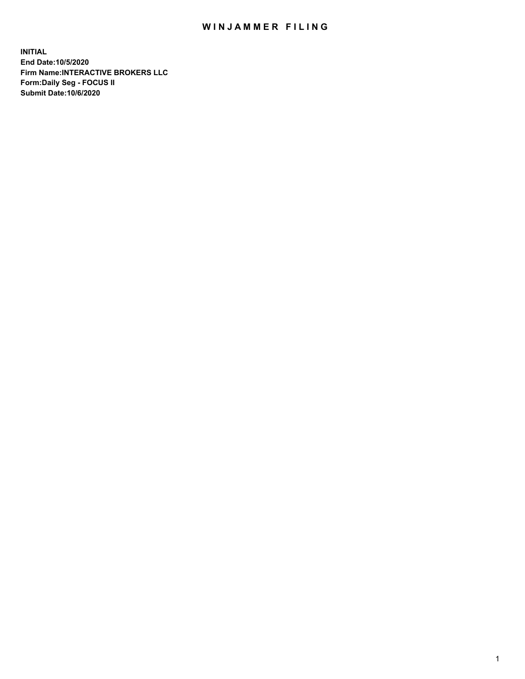## WIN JAMMER FILING

**INITIAL End Date:10/5/2020 Firm Name:INTERACTIVE BROKERS LLC Form:Daily Seg - FOCUS II Submit Date:10/6/2020**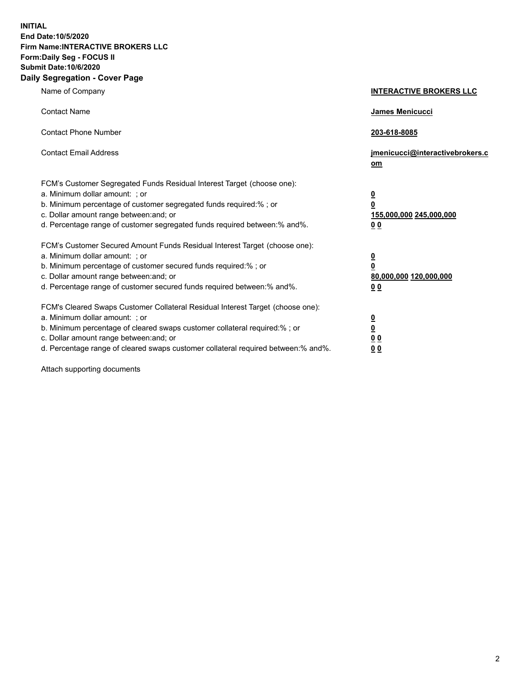**INITIAL End Date:10/5/2020 Firm Name:INTERACTIVE BROKERS LLC Form:Daily Seg - FOCUS II Submit Date:10/6/2020 Daily Segregation - Cover Page**

| Name of Company                                                                                                                                                                                                                                                                                                                | <b>INTERACTIVE BROKERS LLC</b>                                                   |
|--------------------------------------------------------------------------------------------------------------------------------------------------------------------------------------------------------------------------------------------------------------------------------------------------------------------------------|----------------------------------------------------------------------------------|
| <b>Contact Name</b>                                                                                                                                                                                                                                                                                                            | James Menicucci                                                                  |
| <b>Contact Phone Number</b>                                                                                                                                                                                                                                                                                                    | 203-618-8085                                                                     |
| <b>Contact Email Address</b>                                                                                                                                                                                                                                                                                                   | jmenicucci@interactivebrokers.c<br>om                                            |
| FCM's Customer Segregated Funds Residual Interest Target (choose one):<br>a. Minimum dollar amount: ; or<br>b. Minimum percentage of customer segregated funds required:% ; or<br>c. Dollar amount range between: and; or<br>d. Percentage range of customer segregated funds required between:% and%.                         | <u>0</u><br>$\overline{\mathbf{0}}$<br>155,000,000 245,000,000<br>0 <sub>0</sub> |
| FCM's Customer Secured Amount Funds Residual Interest Target (choose one):<br>a. Minimum dollar amount: ; or<br>b. Minimum percentage of customer secured funds required:% ; or<br>c. Dollar amount range between: and; or<br>d. Percentage range of customer secured funds required between:% and%.                           | <u>0</u><br>$\overline{\mathbf{0}}$<br>80,000,000 120,000,000<br>0 <sub>0</sub>  |
| FCM's Cleared Swaps Customer Collateral Residual Interest Target (choose one):<br>a. Minimum dollar amount: ; or<br>b. Minimum percentage of cleared swaps customer collateral required:% ; or<br>c. Dollar amount range between: and; or<br>d. Percentage range of cleared swaps customer collateral required between:% and%. | <u>0</u><br>$\underline{\mathbf{0}}$<br>0 <sub>0</sub><br>0 <sub>0</sub>         |

Attach supporting documents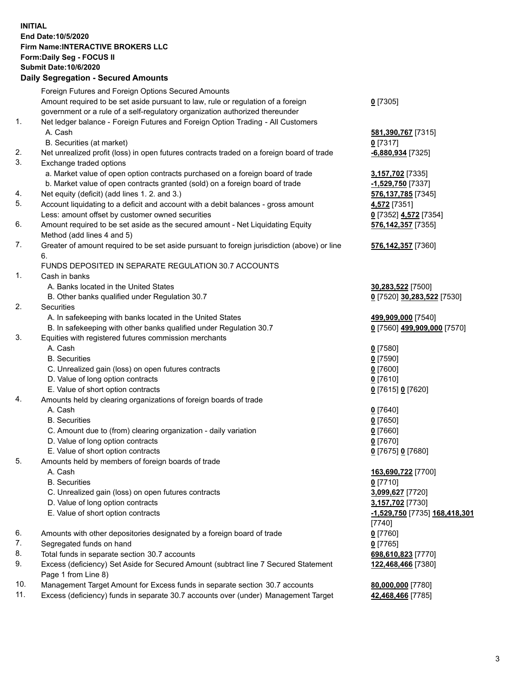**INITIAL End Date:10/5/2020 Firm Name:INTERACTIVE BROKERS LLC Form:Daily Seg - FOCUS II Submit Date:10/6/2020 Daily Segregation - Secured Amounts**

|     | Daily Segregation - Secureu Amounts                                                                        |                                      |
|-----|------------------------------------------------------------------------------------------------------------|--------------------------------------|
|     | Foreign Futures and Foreign Options Secured Amounts                                                        |                                      |
|     | Amount required to be set aside pursuant to law, rule or regulation of a foreign                           | $0$ [7305]                           |
|     | government or a rule of a self-regulatory organization authorized thereunder                               |                                      |
| 1.  | Net ledger balance - Foreign Futures and Foreign Option Trading - All Customers                            |                                      |
|     | A. Cash                                                                                                    | 581,390,767 [7315]                   |
|     | B. Securities (at market)                                                                                  | $0$ [7317]                           |
| 2.  | Net unrealized profit (loss) in open futures contracts traded on a foreign board of trade                  | -6,880,934 [7325]                    |
| 3.  | Exchange traded options                                                                                    |                                      |
|     | a. Market value of open option contracts purchased on a foreign board of trade                             | 3,157,702 [7335]                     |
|     | b. Market value of open contracts granted (sold) on a foreign board of trade                               | -1,529,750 [7337]                    |
| 4.  | Net equity (deficit) (add lines 1. 2. and 3.)                                                              | 576, 137, 785 [7345]                 |
| 5.  | Account liquidating to a deficit and account with a debit balances - gross amount                          | 4,572 [7351]                         |
|     | Less: amount offset by customer owned securities                                                           | 0 [7352] 4,572 [7354]                |
| 6.  | Amount required to be set aside as the secured amount - Net Liquidating Equity                             | 576,142,357 [7355]                   |
|     | Method (add lines 4 and 5)                                                                                 |                                      |
| 7.  | Greater of amount required to be set aside pursuant to foreign jurisdiction (above) or line                | 576,142,357 [7360]                   |
|     | 6.                                                                                                         |                                      |
|     | FUNDS DEPOSITED IN SEPARATE REGULATION 30.7 ACCOUNTS                                                       |                                      |
| 1.  | Cash in banks                                                                                              |                                      |
|     | A. Banks located in the United States                                                                      | 30,283,522 [7500]                    |
|     | B. Other banks qualified under Regulation 30.7                                                             | 0 [7520] 30,283,522 [7530]           |
| 2.  | Securities                                                                                                 |                                      |
|     | A. In safekeeping with banks located in the United States                                                  | 499,909,000 [7540]                   |
|     | B. In safekeeping with other banks qualified under Regulation 30.7                                         | 0 [7560] 499,909,000 [7570]          |
| 3.  | Equities with registered futures commission merchants                                                      |                                      |
|     | A. Cash                                                                                                    | $0$ [7580]                           |
|     | <b>B.</b> Securities                                                                                       | $0$ [7590]                           |
|     | C. Unrealized gain (loss) on open futures contracts                                                        | $0$ [7600]                           |
|     | D. Value of long option contracts                                                                          | $0$ [7610]                           |
|     | E. Value of short option contracts                                                                         | 0 [7615] 0 [7620]                    |
| 4.  | Amounts held by clearing organizations of foreign boards of trade                                          |                                      |
|     | A. Cash                                                                                                    | $Q$ [7640]                           |
|     | <b>B.</b> Securities                                                                                       | $0$ [7650]                           |
|     | C. Amount due to (from) clearing organization - daily variation                                            | $0$ [7660]                           |
|     | D. Value of long option contracts                                                                          | $0$ [7670]                           |
|     | E. Value of short option contracts                                                                         | 0 [7675] 0 [7680]                    |
| 5.  | Amounts held by members of foreign boards of trade                                                         |                                      |
|     | A. Cash                                                                                                    | 163,690,722 [7700]                   |
|     | <b>B.</b> Securities                                                                                       | $0$ [7710]                           |
|     | C. Unrealized gain (loss) on open futures contracts                                                        | 3,099,627 [7720]                     |
|     | D. Value of long option contracts                                                                          | 3,157,702 [7730]                     |
|     | E. Value of short option contracts                                                                         | <u>-1,529,750</u> [7735] 168,418,301 |
|     |                                                                                                            | [7740]                               |
| 6.  | Amounts with other depositories designated by a foreign board of trade                                     | $0$ [7760]                           |
| 7.  | Segregated funds on hand                                                                                   | $0$ [7765]                           |
| 8.  | Total funds in separate section 30.7 accounts                                                              | 698,610,823 [7770]                   |
| 9.  | Excess (deficiency) Set Aside for Secured Amount (subtract line 7 Secured Statement<br>Page 1 from Line 8) | 122,468,466 [7380]                   |
| 10. | Management Target Amount for Excess funds in separate section 30.7 accounts                                | 80,000,000 [7780]                    |
| 11. | Excess (deficiency) funds in separate 30.7 accounts over (under) Management Target                         | 42,468,466 [7785]                    |
|     |                                                                                                            |                                      |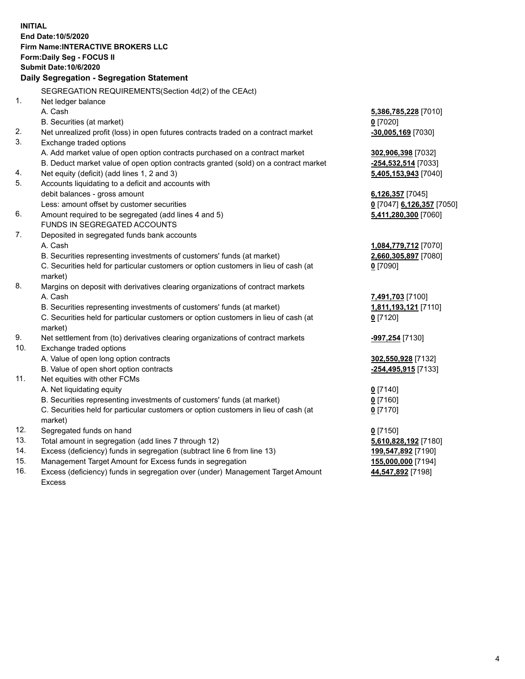**INITIAL End Date:10/5/2020 Firm Name:INTERACTIVE BROKERS LLC Form:Daily Seg - FOCUS II Submit Date:10/6/2020 Daily Segregation - Segregation Statement** SEGREGATION REQUIREMENTS(Section 4d(2) of the CEAct) 1. Net ledger balance A. Cash **5,386,785,228** [7010] B. Securities (at market) **0** [7020] 2. Net unrealized profit (loss) in open futures contracts traded on a contract market **-30,005,169** [7030] 3. Exchange traded options A. Add market value of open option contracts purchased on a contract market **302,906,398** [7032] B. Deduct market value of open option contracts granted (sold) on a contract market **-254,532,514** [7033] 4. Net equity (deficit) (add lines 1, 2 and 3) **5,405,153,943** [7040] 5. Accounts liquidating to a deficit and accounts with debit balances - gross amount **6,126,357** [7045] Less: amount offset by customer securities **0** [7047] **6,126,357** [7050] 6. Amount required to be segregated (add lines 4 and 5) **5,411,280,300** [7060] FUNDS IN SEGREGATED ACCOUNTS 7. Deposited in segregated funds bank accounts A. Cash **1,084,779,712** [7070] B. Securities representing investments of customers' funds (at market) **2,660,305,897** [7080] C. Securities held for particular customers or option customers in lieu of cash (at market) **0** [7090] 8. Margins on deposit with derivatives clearing organizations of contract markets A. Cash **7,491,703** [7100] B. Securities representing investments of customers' funds (at market) **1,811,193,121** [7110] C. Securities held for particular customers or option customers in lieu of cash (at market) **0** [7120] 9. Net settlement from (to) derivatives clearing organizations of contract markets **-997,254** [7130] 10. Exchange traded options A. Value of open long option contracts **302,550,928** [7132] B. Value of open short option contracts **-254,495,915** [7133] 11. Net equities with other FCMs A. Net liquidating equity **0** [7140] B. Securities representing investments of customers' funds (at market) **0** [7160] C. Securities held for particular customers or option customers in lieu of cash (at market) **0** [7170] 12. Segregated funds on hand **0** [7150] 13. Total amount in segregation (add lines 7 through 12) **5,610,828,192** [7180] 14. Excess (deficiency) funds in segregation (subtract line 6 from line 13) **199,547,892** [7190] 15. Management Target Amount for Excess funds in segregation **155,000,000** [7194] **44,547,892** [7198]

16. Excess (deficiency) funds in segregation over (under) Management Target Amount Excess